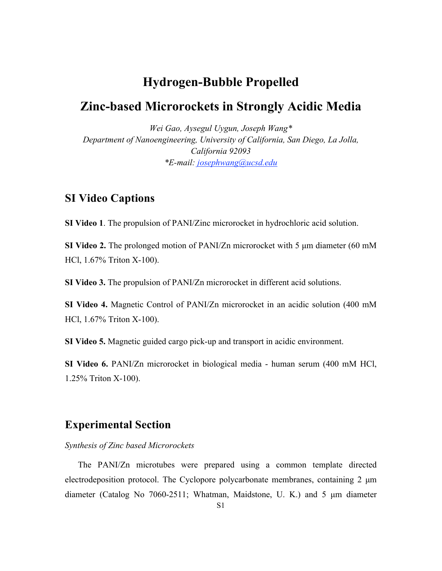# **Hydrogen-Bubble Propelled**

# **Zinc-based Microrockets in Strongly Acidic Media**

*Wei Gao, Aysegul Uygun, Joseph Wang\* Department of Nanoengineering, University of California, San Diego, La Jolla, California 92093 \*E-mail: josephwang@ucsd.edu*

### **SI Video Captions**

**SI Video 1**. The propulsion of PANI/Zinc microrocket in hydrochloric acid solution.

**SI Video 2.** The prolonged motion of PANI/Zn microrocket with 5 µm diameter (60 mM HCl, 1.67% Triton X-100).

**SI Video 3.** The propulsion of PANI/Zn microrocket in different acid solutions.

**SI Video 4.** Magnetic Control of PANI/Zn microrocket in an acidic solution (400 mM HCl, 1.67% Triton X-100).

**SI Video 5.** Magnetic guided cargo pick-up and transport in acidic environment.

**SI Video 6.** PANI/Zn microrocket in biological media - human serum (400 mM HCl, 1.25% Triton X-100).

## **Experimental Section**

*Synthesis of Zinc based Microrockets*

The PANI/Zn microtubes were prepared using a common template directed electrodeposition protocol. The Cyclopore polycarbonate membranes, containing 2  $\mu$ m diameter (Catalog No 7060-2511; Whatman, Maidstone, U. K.) and 5 µm diameter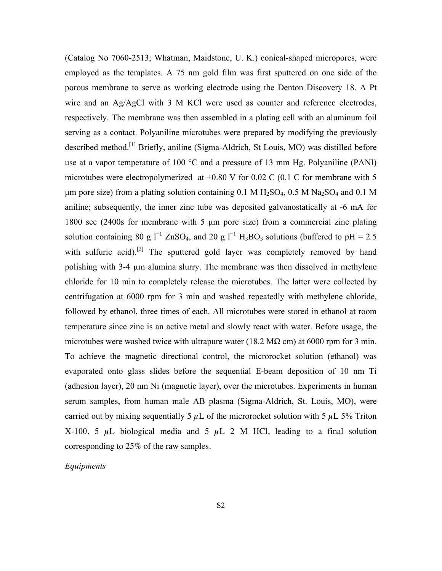(Catalog No 7060-2513; Whatman, Maidstone, U. K.) conical-shaped micropores, were employed as the templates. A 75 nm gold film was first sputtered on one side of the porous membrane to serve as working electrode using the Denton Discovery 18. A Pt wire and an Ag/AgCl with 3 M KCl were used as counter and reference electrodes, respectively. The membrane was then assembled in a plating cell with an aluminum foil serving as a contact. Polyaniline microtubes were prepared by modifying the previously described method.<sup>[1]</sup> Briefly, aniline (Sigma-Aldrich, St Louis, MO) was distilled before use at a vapor temperature of 100 °C and a pressure of 13 mm Hg. Polyaniline (PANI) microtubes were electropolymerized at  $+0.80$  V for  $0.02$  C (0.1 C for membrane with 5 µm pore size) from a plating solution containing  $0.1 M H<sub>2</sub>SO<sub>4</sub>, 0.5 M Na<sub>2</sub>SO<sub>4</sub>$  and  $0.1 M$ aniline; subsequently, the inner zinc tube was deposited galvanostatically at -6 mA for 1800 sec (2400s for membrane with 5 µm pore size) from a commercial zinc plating solution containing 80 g  $I^{-1}$  ZnSO<sub>4</sub>, and 20 g  $I^{-1}$  H<sub>3</sub>BO<sub>3</sub> solutions (buffered to pH = 2.5 with sulfuric acid).<sup>[2]</sup> The sputtered gold layer was completely removed by hand polishing with 3-4 µm alumina slurry. The membrane was then dissolved in methylene chloride for 10 min to completely release the microtubes. The latter were collected by centrifugation at 6000 rpm for 3 min and washed repeatedly with methylene chloride, followed by ethanol, three times of each. All microtubes were stored in ethanol at room temperature since zinc is an active metal and slowly react with water. Before usage, the microtubes were washed twice with ultrapure water (18.2 M $\Omega$  cm) at 6000 rpm for 3 min. To achieve the magnetic directional control, the microrocket solution (ethanol) was evaporated onto glass slides before the sequential E-beam deposition of 10 nm Ti (adhesion layer), 20 nm Ni (magnetic layer), over the microtubes. Experiments in human serum samples, from human male AB plasma (Sigma-Aldrich, St. Louis, MO), were carried out by mixing sequentially 5  $\mu$ L of the microrocket solution with 5  $\mu$ L 5% Triton X-100, 5  $\mu$ L biological media and 5  $\mu$ L 2 M HCl, leading to a final solution corresponding to 25% of the raw samples.

### *Equipments*